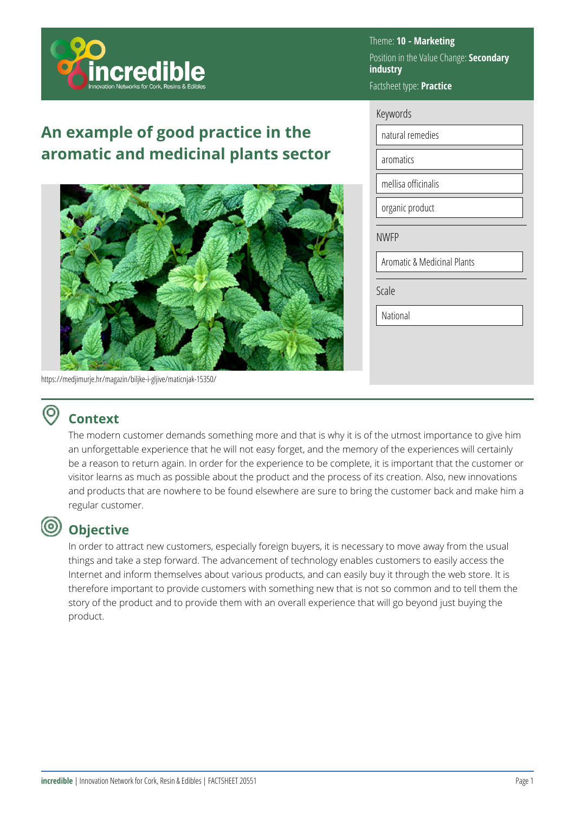

# **An example of good practice in the aromatic and medicinal plants sector**



https://medjimurje.hr/magazin/biljke-i-gljive/maticnjak-15350/

#### Theme: **10 - Marketing**  Position in the Value Change: **Secondary industry**  Factsheet type: **Practice**

#### Keywords

natural remedies

aromatics

mellisa officinalis

organic product

NWFP

Aromatic & Medicinal Plants

Scale

National

## **Context**

The modern customer demands something more and that is why it is of the utmost importance to give him an unforgettable experience that he will not easy forget, and the memory of the experiences will certainly be a reason to return again. In order for the experience to be complete, it is important that the customer or visitor learns as much as possible about the product and the process of its creation. Also, new innovations and products that are nowhere to be found elsewhere are sure to bring the customer back and make him a regular customer.

#### (ම) **Objective**

In order to attract new customers, especially foreign buyers, it is necessary to move away from the usual things and take a step forward. The advancement of technology enables customers to easily access the Internet and inform themselves about various products, and can easily buy it through the web store. It is therefore important to provide customers with something new that is not so common and to tell them the story of the product and to provide them with an overall experience that will go beyond just buying the product.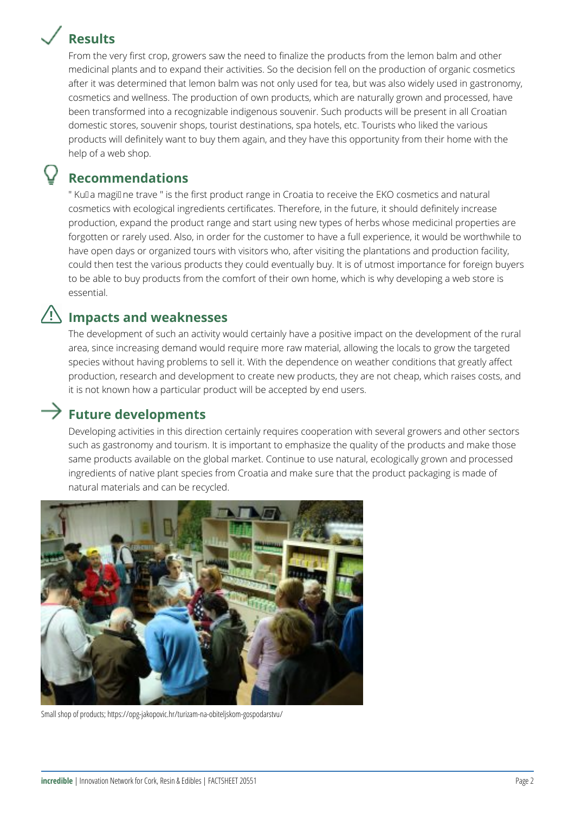# **Results**



From the very first crop, growers saw the need to finalize the products from the lemon balm and other medicinal plants and to expand their activities. So the decision fell on the production of organic cosmetics after it was determined that lemon balm was not only used for tea, but was also widely used in gastronomy, cosmetics and wellness. The production of own products, which are naturally grown and processed, have been transformed into a recognizable indigenous souvenir. Such products will be present in all Croatian domestic stores, souvenir shops, tourist destinations, spa hotels, etc. Tourists who liked the various products will definitely want to buy them again, and they have this opportunity from their home with the help of a web shop.

### **Recommendations**

" Kulla magill ne trave " is the first product range in Croatia to receive the EKO cosmetics and natural cosmetics with ecological ingredients certificates. Therefore, in the future, it should definitely increase production, expand the product range and start using new types of herbs whose medicinal properties are forgotten or rarely used. Also, in order for the customer to have a full experience, it would be worthwhile to have open days or organized tours with visitors who, after visiting the plantations and production facility, could then test the various products they could eventually buy. It is of utmost importance for foreign buyers to be able to buy products from the comfort of their own home, which is why developing a web store is essential.

#### **Impacts and weaknesses**

The development of such an activity would certainly have a positive impact on the development of the rural area, since increasing demand would require more raw material, allowing the locals to grow the targeted species without having problems to sell it. With the dependence on weather conditions that greatly affect production, research and development to create new products, they are not cheap, which raises costs, and it is not known how a particular product will be accepted by end users.

### $\rightarrow$  Future developments

Developing activities in this direction certainly requires cooperation with several growers and other sectors such as gastronomy and tourism. It is important to emphasize the quality of the products and make those same products available on the global market. Continue to use natural, ecologically grown and processed ingredients of native plant species from Croatia and make sure that the product packaging is made of natural materials and can be recycled.



Small shop of products; https://opg-jakopovic.hr/turizam-na-obiteljskom-gospodarstvu/